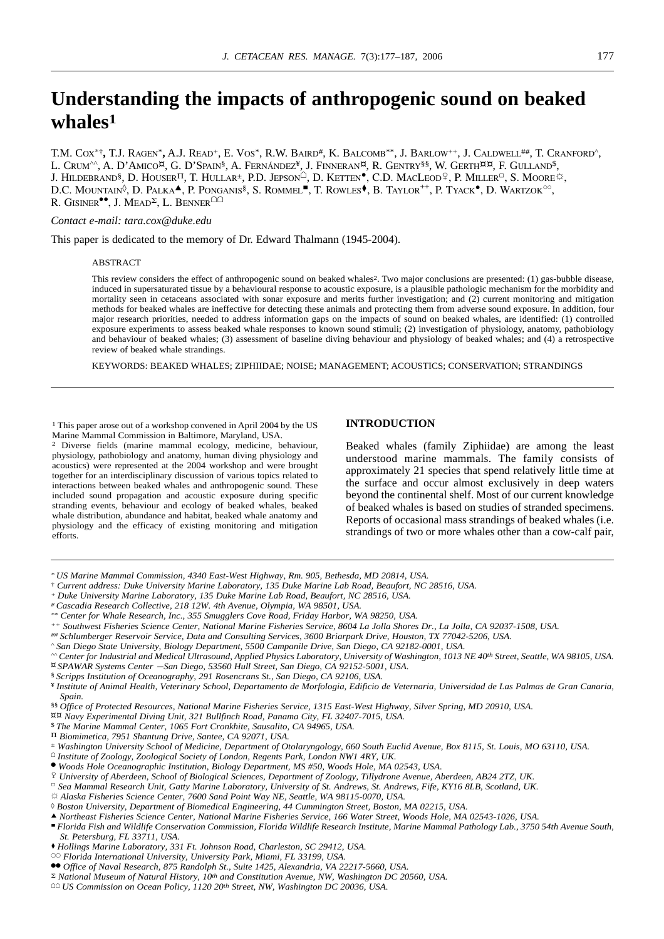# **Understanding the impacts of anthropogenic sound on beaked whales1**

T.M. COX\*†**,** T.J. RAGEN\***,** A.J. READ+, E. VOS\*, R.W. BAIRD#, K. BALCOMB\*\*, J. BARLOW++, J. CALDWELL##, T. CRANFORD^, L. CRUM^^, A. D'AMICO<sup>¤</sup>, G. D'SPAIN<sup>§</sup>, A. FERNÁNDEZ<sup>¥</sup>, J. FINNERAN<sup>¤</sup>, R. GENTRY<sup>§§</sup>, W. GERTH<sup>¤¤</sup>, F. GULLAND<sup>\$</sup>, J. HILDEBRAND<sup>§</sup>, D. HOUSER<sup>IT</sup>, T. HULLAR<sup>±</sup>, P.D. JEPSON<sup> $\hat{O}$ </sup>, D. KETTEN<sup> $\bullet$ </sup>, C.D. MACLEOD<sup>Q</sup>, P. MILLER<sup>□</sup>, S. MOORE<sup> $\hat{\varnothing}$ </sup>, D.C. MOUNTAIN<sup>©</sup>, D. PALKA<sup>A</sup>, P. PONGANIS<sup>§</sup>, S. ROMMEL<sup>■</sup>, T. ROWLES<sup>♦</sup>, B. TAYLOR<sup>++</sup>, P. TYACK<sup>®</sup>, D. WARTZOK<sup>oo</sup>, R. GISINER<sup> $\bullet$ </sup>, J. MEAD<sup> $\Sigma$ </sup>, L. BENNER<sup> $\Box$  $\Box$ </sup>

## *Contact e-mail: tara.cox@duke.edu*

This paper is dedicated to the memory of Dr. Edward Thalmann (1945-2004).

# ABSTRACT

This review considers the effect of anthropogenic sound on beaked whales<sup>2</sup>. Two major conclusions are presented: (1) gas-bubble disease, induced in supersaturated tissue by a behavioural response to acoustic exposure, is a plausible pathologic mechanism for the morbidity and mortality seen in cetaceans associated with sonar exposure and merits further investigation; and (2) current monitoring and mitigation methods for beaked whales are ineffective for detecting these animals and protecting them from adverse sound exposure. In addition, four major research priorities, needed to address information gaps on the impacts of sound on beaked whales, are identified: (1) controlled exposure experiments to assess beaked whale responses to known sound stimuli; (2) investigation of physiology, anatomy, pathobiology and behaviour of beaked whales; (3) assessment of baseline diving behaviour and physiology of beaked whales; and (4) a retrospective review of beaked whale strandings.

KEYWORDS: BEAKED WHALES; ZIPHIIDAE; NOISE; MANAGEMENT; ACOUSTICS; CONSERVATION; STRANDINGS

<sup>1</sup> This paper arose out of a workshop convened in April 2004 by the US Marine Mammal Commission in Baltimore, Maryland, USA.

2 Diverse fields (marine mammal ecology, medicine, behaviour, physiology, pathobiology and anatomy, human diving physiology and acoustics) were represented at the 2004 workshop and were brought together for an interdisciplinary discussion of various topics related to interactions between beaked whales and anthropogenic sound. These included sound propagation and acoustic exposure during specific stranding events, behaviour and ecology of beaked whales, beaked whale distribution, abundance and habitat, beaked whale anatomy and physiology and the efficacy of existing monitoring and mitigation efforts.

# **INTRODUCTION**

Beaked whales (family Ziphiidae) are among the least understood marine mammals. The family consists of approximately 21 species that spend relatively little time at the surface and occur almost exclusively in deep waters beyond the continental shelf. Most of our current knowledge of beaked whales is based on studies of stranded specimens. Reports of occasional mass strandings of beaked whales (i.e. strandings of two or more whales other than a cow-calf pair,

- † *Current address: Duke University Marine Laboratory, 135 Duke Marine Lab Road, Beaufort, NC 28516, USA.*
- *+ Duke University Marine Laboratory, 135 Duke Marine Lab Road, Beaufort, NC 28516, USA.*
- *# Cascadia Research Collective, 218 12W. 4th Avenue, Olympia, WA 98501, USA.*
- *\*\* Center for Whale Research, Inc., 355 Smugglers Cove Road, Friday Harbor, WA 98250, USA.*
- *++ Southwest Fisheries Science Center, National Marine Fisheries Service, 8604 La Jolla Shores Dr., La Jolla, CA 92037-1508, USA.*
- *## Schlumberger Reservoir Service, Data and Consulting Services, 3600 Briarpark Drive, Houston, TX 77042-5206, USA.*
- *^ San Diego State University, Biology Department, 5500 Campanile Drive, San Diego, CA 92182-0001, USA.*
- *^^ Center for Industrial and Medical Ultrasound, Applied Physics Laboratory, University of Washington, 1013 NE 40th Street, Seattle, WA 98105, USA. SPAWAR Systems Center* 2*San Diego, 53560 Hull Street, San Diego, CA 92152-5001, USA.*
- § *Scripps Institution of Oceanography, 291 Rosencrans St., San Diego, CA 92106, USA.*

¥ *Institute of Animal Health, Veterinary School, Departamento de Morfologia, Edificio de Veternaria, Universidad de Las Palmas de Gran Canaria, Spain.*

§§ *Office of Protected Resources, National Marine Fisheries Service, 1315 East-West Highway, Silver Spring, MD 20910, USA.*

- *Navy Experimental Diving Unit, 321 Bullfinch Road, Panama City, FL 32407-7015, USA.*
- \$ *The Marine Mammal Center, 1065 Fort Cronkhite, Sausalito, CA 94965, USA.*
- P *Biomimetica, 7951 Shantung Drive, Santee, CA 92071, USA.*
- *± Washington University School of Medicine, Department of Otolaryngology, 660 South Euclid Avenue, Box 8115, St. Louis, MO 63110, USA.*
- [ *Institute of Zoology, Zoological Society of London, Regents Park, London NW1 4RY, UK.*
- <sup>5</sup> *Woods Hole Oceanographic Institution, Biology Department, MS #50, Woods Hole, MA 02543, USA.*
- # *University of Aberdeen, School of Biological Sciences, Department of Zoology, Tillydrone Avenue, Aberdeen, AB24 2TZ, UK.*
- <sup>7</sup> *Sea Mammal Research Unit, Gatty Marine Laboratory, University of St. Andrews, St. Andrews, Fife, KY16 8LB, Scotland, UK.*
- *Alaska Fisheries Science Center, 7600 Sand Point Way NE, Seattle, WA 98115-0070, USA.*
- ◊ *Boston University, Department of Biomedical Engineering, 44 Cummington Street, Boston, MA 02215, USA.*
- : *Northeast Fisheries Science Center, National Marine Fisheries Service, 166 Water Street, Woods Hole, MA 02543-1026, USA.*
- 0 *Florida Fish and Wildlife Conservation Commission, Florida Wildlife Research Institute, Marine Mammal Pathology Lab., 3750 54th Avenue South, St. Petersburg, FL 33711, USA.*
- *Hollings Marine Laboratory, 331 Ft. Johnson Road, Charleston, SC 29412, USA.*
- <sup>22</sup> *Florida International University, University Park, Miami, FL 33199, USA.*
- <sup>55</sup> *Office of Naval Research, 875 Randolph St., Suite 1425, Alexandria, VA 22217-5660, USA.*
- S *National Museum of Natural History, 10th and Constitution Avenue, NW, Washington DC 20560, USA.*
- [[ *US Commission on Ocean Policy, 1120 20th Street, NW, Washington DC 20036, USA.*

*<sup>\*</sup> US Marine Mammal Commission, 4340 East-West Highway, Rm. 905, Bethesda, MD 20814, USA.*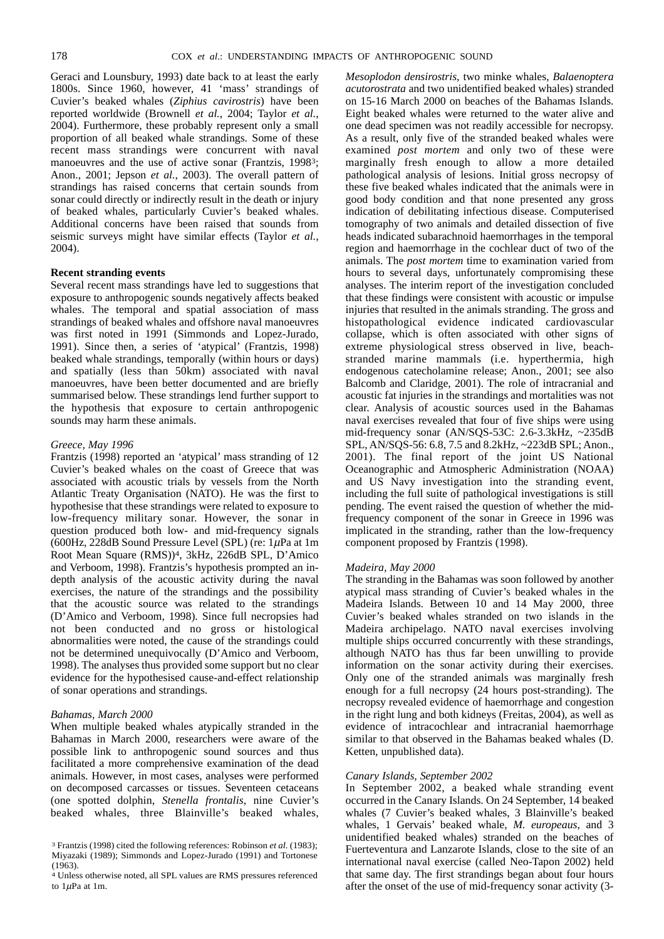Geraci and Lounsbury, 1993) date back to at least the early 1800s. Since 1960, however, 41 'mass' strandings of Cuvier's beaked whales (*Ziphius cavirostris*) have been reported worldwide (Brownell *et al.*, 2004; Taylor *et al.*, 2004). Furthermore, these probably represent only a small proportion of all beaked whale strandings. Some of these recent mass strandings were concurrent with naval manoeuvres and the use of active sonar (Frantzis, 1998<sup>3</sup>; Anon., 2001; Jepson *et al.*, 2003). The overall pattern of strandings has raised concerns that certain sounds from sonar could directly or indirectly result in the death or injury of beaked whales, particularly Cuvier's beaked whales. Additional concerns have been raised that sounds from seismic surveys might have similar effects (Taylor *et al.*, 2004).

# **Recent stranding events**

Several recent mass strandings have led to suggestions that exposure to anthropogenic sounds negatively affects beaked whales. The temporal and spatial association of mass strandings of beaked whales and offshore naval manoeuvres was first noted in 1991 (Simmonds and Lopez-Jurado, 1991). Since then, a series of 'atypical' (Frantzis, 1998) beaked whale strandings, temporally (within hours or days) and spatially (less than 50km) associated with naval manoeuvres, have been better documented and are briefly summarised below. These strandings lend further support to the hypothesis that exposure to certain anthropogenic sounds may harm these animals.

# *Greece, May 1996*

Frantzis (1998) reported an 'atypical' mass stranding of 12 Cuvier's beaked whales on the coast of Greece that was associated with acoustic trials by vessels from the North Atlantic Treaty Organisation (NATO). He was the first to hypothesise that these strandings were related to exposure to low-frequency military sonar. However, the sonar in question produced both low- and mid-frequency signals (600Hz, 228dB Sound Pressure Level (SPL) (re:  $1\mu$ Pa at 1m Root Mean Square (RMS))4, 3kHz, 226dB SPL, D'Amico and Verboom, 1998). Frantzis's hypothesis prompted an indepth analysis of the acoustic activity during the naval exercises, the nature of the strandings and the possibility that the acoustic source was related to the strandings (D'Amico and Verboom, 1998). Since full necropsies had not been conducted and no gross or histological abnormalities were noted, the cause of the strandings could not be determined unequivocally (D'Amico and Verboom, 1998). The analyses thus provided some support but no clear evidence for the hypothesised cause-and-effect relationship of sonar operations and strandings.

# *Bahamas, March 2000*

When multiple beaked whales atypically stranded in the Bahamas in March 2000, researchers were aware of the possible link to anthropogenic sound sources and thus facilitated a more comprehensive examination of the dead animals. However, in most cases, analyses were performed on decomposed carcasses or tissues. Seventeen cetaceans (one spotted dolphin, *Stenella frontalis*, nine Cuvier's beaked whales, three Blainville's beaked whales, *Mesoplodon densirostris*, two minke whales, *Balaenoptera acutorostrata* and two unidentified beaked whales) stranded on 15-16 March 2000 on beaches of the Bahamas Islands. Eight beaked whales were returned to the water alive and one dead specimen was not readily accessible for necropsy. As a result, only five of the stranded beaked whales were examined *post mortem* and only two of these were marginally fresh enough to allow a more detailed pathological analysis of lesions. Initial gross necropsy of these five beaked whales indicated that the animals were in good body condition and that none presented any gross indication of debilitating infectious disease. Computerised tomography of two animals and detailed dissection of five heads indicated subarachnoid haemorrhages in the temporal region and haemorrhage in the cochlear duct of two of the animals. The *post mortem* time to examination varied from hours to several days, unfortunately compromising these analyses. The interim report of the investigation concluded that these findings were consistent with acoustic or impulse injuries that resulted in the animals stranding. The gross and histopathological evidence indicated cardiovascular collapse, which is often associated with other signs of extreme physiological stress observed in live, beachstranded marine mammals (i.e. hyperthermia, high endogenous catecholamine release; Anon., 2001; see also Balcomb and Claridge, 2001). The role of intracranial and acoustic fat injuries in the strandings and mortalities was not clear. Analysis of acoustic sources used in the Bahamas naval exercises revealed that four of five ships were using mid-frequency sonar (AN/SQS-53C: 2.6-3.3kHz, ~235dB SPL, AN/SQS-56: 6.8, 7.5 and 8.2kHz, ~223dB SPL; Anon., 2001). The final report of the joint US National Oceanographic and Atmospheric Administration (NOAA) and US Navy investigation into the stranding event, including the full suite of pathological investigations is still pending. The event raised the question of whether the midfrequency component of the sonar in Greece in 1996 was implicated in the stranding, rather than the low-frequency component proposed by Frantzis (1998).

### *Madeira, May 2000*

The stranding in the Bahamas was soon followed by another atypical mass stranding of Cuvier's beaked whales in the Madeira Islands. Between 10 and 14 May 2000, three Cuvier's beaked whales stranded on two islands in the Madeira archipelago. NATO naval exercises involving multiple ships occurred concurrently with these strandings, although NATO has thus far been unwilling to provide information on the sonar activity during their exercises. Only one of the stranded animals was marginally fresh enough for a full necropsy (24 hours post-stranding). The necropsy revealed evidence of haemorrhage and congestion in the right lung and both kidneys (Freitas, 2004), as well as evidence of intracochlear and intracranial haemorrhage similar to that observed in the Bahamas beaked whales (D. Ketten, unpublished data).

# *Canary Islands, September 2002*

In September 2002, a beaked whale stranding event occurred in the Canary Islands. On 24 September, 14 beaked whales (7 Cuvier's beaked whales, 3 Blainville's beaked whales, 1 Gervais' beaked whale, *M. europeaus*, and 3 unidentified beaked whales) stranded on the beaches of Fuerteventura and Lanzarote Islands, close to the site of an international naval exercise (called Neo-Tapon 2002) held that same day. The first strandings began about four hours after the onset of the use of mid-frequency sonar activity (3-

<sup>3</sup> Frantzis (1998) cited the following references: Robinson *et al.* (1983); Miyazaki (1989); Simmonds and Lopez-Jurado (1991) and Tortonese (1963).

<sup>4</sup> Unless otherwise noted, all SPL values are RMS pressures referenced to  $1\mu$ Pa at 1m.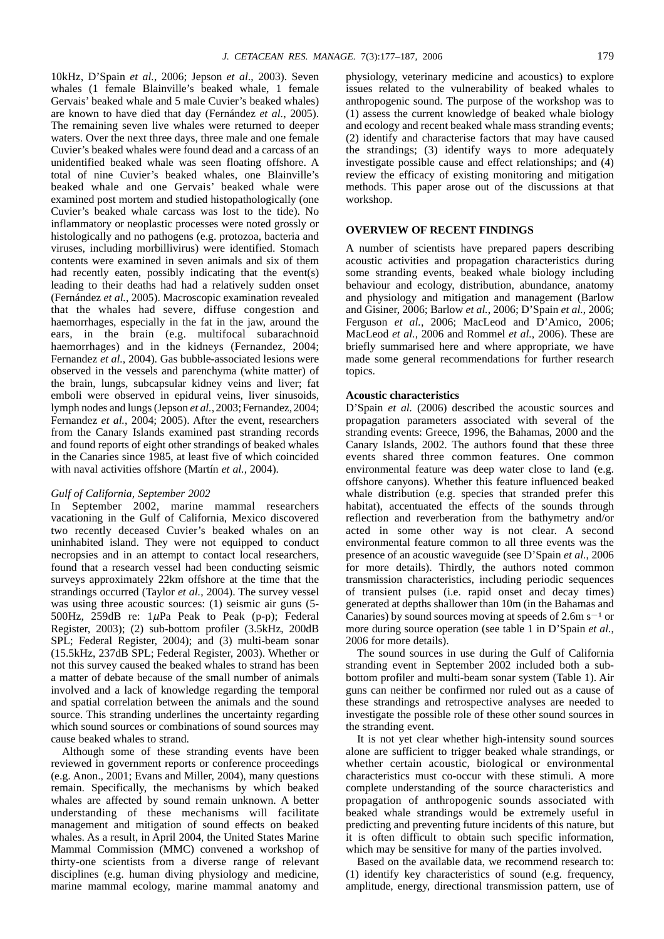10kHz, D'Spain *et al.*, 2006; Jepson *et al*., 2003). Seven whales (1 female Blainville's beaked whale, 1 female Gervais' beaked whale and 5 male Cuvier's beaked whales) are known to have died that day (Fernández *et al.*, 2005). The remaining seven live whales were returned to deeper waters. Over the next three days, three male and one female Cuvier's beaked whales were found dead and a carcass of an unidentified beaked whale was seen floating offshore. A total of nine Cuvier's beaked whales, one Blainville's beaked whale and one Gervais' beaked whale were examined post mortem and studied histopathologically (one Cuvier's beaked whale carcass was lost to the tide). No inflammatory or neoplastic processes were noted grossly or histologically and no pathogens (e.g. protozoa, bacteria and viruses, including morbillivirus) were identified. Stomach contents were examined in seven animals and six of them had recently eaten, possibly indicating that the event(s) leading to their deaths had had a relatively sudden onset (Fernández *et al.*, 2005). Macroscopic examination revealed that the whales had severe, diffuse congestion and haemorrhages, especially in the fat in the jaw, around the ears, in the brain (e.g. multifocal subarachnoid haemorrhages) and in the kidneys (Fernandez, 2004; Fernandez *et al.*, 2004). Gas bubble-associated lesions were observed in the vessels and parenchyma (white matter) of the brain, lungs, subcapsular kidney veins and liver; fat emboli were observed in epidural veins, liver sinusoids, lymph nodes and lungs (Jepson *et al.*, 2003; Fernandez, 2004; Fernandez *et al.*, 2004; 2005). After the event, researchers from the Canary Islands examined past stranding records and found reports of eight other strandings of beaked whales in the Canaries since 1985, at least five of which coincided with naval activities offshore (Martín *et al.*, 2004).

### *Gulf of California, September 2002*

In September 2002, marine mammal researchers vacationing in the Gulf of California, Mexico discovered two recently deceased Cuvier's beaked whales on an uninhabited island. They were not equipped to conduct necropsies and in an attempt to contact local researchers, found that a research vessel had been conducting seismic surveys approximately 22km offshore at the time that the strandings occurred (Taylor *et al.*, 2004). The survey vessel was using three acoustic sources: (1) seismic air guns (5- 500Hz, 259dB re:  $1\mu$ Pa Peak to Peak (p-p); Federal Register, 2003); (2) sub-bottom profiler (3.5kHz, 200dB SPL; Federal Register, 2004); and (3) multi-beam sonar (15.5kHz, 237dB SPL; Federal Register, 2003). Whether or not this survey caused the beaked whales to strand has been a matter of debate because of the small number of animals involved and a lack of knowledge regarding the temporal and spatial correlation between the animals and the sound source. This stranding underlines the uncertainty regarding which sound sources or combinations of sound sources may cause beaked whales to strand.

Although some of these stranding events have been reviewed in government reports or conference proceedings (e.g. Anon., 2001; Evans and Miller, 2004), many questions remain. Specifically, the mechanisms by which beaked whales are affected by sound remain unknown. A better understanding of these mechanisms will facilitate management and mitigation of sound effects on beaked whales. As a result, in April 2004, the United States Marine Mammal Commission (MMC) convened a workshop of thirty-one scientists from a diverse range of relevant disciplines (e.g. human diving physiology and medicine, marine mammal ecology, marine mammal anatomy and physiology, veterinary medicine and acoustics) to explore issues related to the vulnerability of beaked whales to anthropogenic sound. The purpose of the workshop was to (1) assess the current knowledge of beaked whale biology and ecology and recent beaked whale mass stranding events; (2) identify and characterise factors that may have caused the strandings; (3) identify ways to more adequately investigate possible cause and effect relationships; and (4) review the efficacy of existing monitoring and mitigation methods. This paper arose out of the discussions at that workshop.

# **OVERVIEW OF RECENT FINDINGS**

A number of scientists have prepared papers describing acoustic activities and propagation characteristics during some stranding events, beaked whale biology including behaviour and ecology, distribution, abundance, anatomy and physiology and mitigation and management (Barlow and Gisiner, 2006; Barlow *et al.*, 2006; D'Spain *et al.*, 2006; Ferguson *et al.*, 2006; MacLeod and D'Amico, 2006; MacLeod *et al.*, 2006 and Rommel *et al.*, 2006). These are briefly summarised here and where appropriate, we have made some general recommendations for further research topics.

### **Acoustic characteristics**

D'Spain *et al.* (2006) described the acoustic sources and propagation parameters associated with several of the stranding events: Greece, 1996, the Bahamas, 2000 and the Canary Islands, 2002. The authors found that these three events shared three common features. One common environmental feature was deep water close to land (e.g. offshore canyons). Whether this feature influenced beaked whale distribution (e.g. species that stranded prefer this habitat), accentuated the effects of the sounds through reflection and reverberation from the bathymetry and/or acted in some other way is not clear. A second environmental feature common to all three events was the presence of an acoustic waveguide (see D'Spain *et al.*, 2006 for more details). Thirdly, the authors noted common transmission characteristics, including periodic sequences of transient pulses (i.e. rapid onset and decay times) generated at depths shallower than 10m (in the Bahamas and Canaries) by sound sources moving at speeds of  $2.6m s^{-1}$  or more during source operation (see table 1 in D'Spain *et al.*, 2006 for more details).

The sound sources in use during the Gulf of California stranding event in September 2002 included both a subbottom profiler and multi-beam sonar system (Table 1). Air guns can neither be confirmed nor ruled out as a cause of these strandings and retrospective analyses are needed to investigate the possible role of these other sound sources in the stranding event.

It is not yet clear whether high-intensity sound sources alone are sufficient to trigger beaked whale strandings, or whether certain acoustic, biological or environmental characteristics must co-occur with these stimuli. A more complete understanding of the source characteristics and propagation of anthropogenic sounds associated with beaked whale strandings would be extremely useful in predicting and preventing future incidents of this nature, but it is often difficult to obtain such specific information, which may be sensitive for many of the parties involved.

Based on the available data, we recommend research to: (1) identify key characteristics of sound (e.g. frequency, amplitude, energy, directional transmission pattern, use of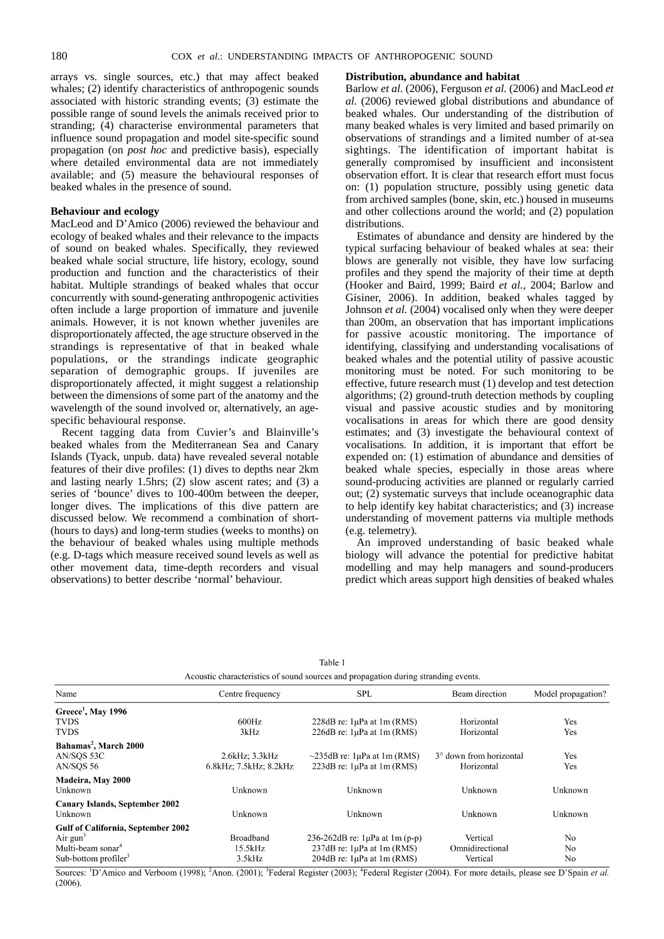arrays vs. single sources, etc.) that may affect beaked whales; (2) identify characteristics of anthropogenic sounds associated with historic stranding events; (3) estimate the possible range of sound levels the animals received prior to stranding; (4) characterise environmental parameters that influence sound propagation and model site-specific sound propagation (on *post hoc* and predictive basis), especially where detailed environmental data are not immediately available; and (5) measure the behavioural responses of beaked whales in the presence of sound.

# **Behaviour and ecology**

MacLeod and D'Amico (2006) reviewed the behaviour and ecology of beaked whales and their relevance to the impacts of sound on beaked whales. Specifically, they reviewed beaked whale social structure, life history, ecology, sound production and function and the characteristics of their habitat. Multiple strandings of beaked whales that occur concurrently with sound-generating anthropogenic activities often include a large proportion of immature and juvenile animals. However, it is not known whether juveniles are disproportionately affected, the age structure observed in the strandings is representative of that in beaked whale populations, or the strandings indicate geographic separation of demographic groups. If juveniles are disproportionately affected, it might suggest a relationship between the dimensions of some part of the anatomy and the wavelength of the sound involved or, alternatively, an agespecific behavioural response.

Recent tagging data from Cuvier's and Blainville's beaked whales from the Mediterranean Sea and Canary Islands (Tyack, unpub. data) have revealed several notable features of their dive profiles: (1) dives to depths near 2km and lasting nearly 1.5hrs; (2) slow ascent rates; and (3) a series of 'bounce' dives to 100-400m between the deeper, longer dives. The implications of this dive pattern are discussed below. We recommend a combination of short- (hours to days) and long-term studies (weeks to months) on the behaviour of beaked whales using multiple methods (e.g. D-tags which measure received sound levels as well as other movement data, time-depth recorders and visual observations) to better describe 'normal' behaviour.

# **Distribution, abundance and habitat**

Barlow *et al.* (2006), Ferguson *et al.* (2006) and MacLeod *et al.* (2006) reviewed global distributions and abundance of beaked whales. Our understanding of the distribution of many beaked whales is very limited and based primarily on observations of strandings and a limited number of at-sea sightings. The identification of important habitat is generally compromised by insufficient and inconsistent observation effort. It is clear that research effort must focus on: (1) population structure, possibly using genetic data from archived samples (bone, skin, etc.) housed in museums and other collections around the world; and (2) population distributions.

Estimates of abundance and density are hindered by the typical surfacing behaviour of beaked whales at sea: their blows are generally not visible, they have low surfacing profiles and they spend the majority of their time at depth (Hooker and Baird, 1999; Baird *et al.*, 2004; Barlow and Gisiner, 2006). In addition, beaked whales tagged by Johnson *et al.* (2004) vocalised only when they were deeper than 200m, an observation that has important implications for passive acoustic monitoring. The importance of identifying, classifying and understanding vocalisations of beaked whales and the potential utility of passive acoustic monitoring must be noted. For such monitoring to be effective, future research must (1) develop and test detection algorithms; (2) ground-truth detection methods by coupling visual and passive acoustic studies and by monitoring vocalisations in areas for which there are good density estimates; and (3) investigate the behavioural context of vocalisations. In addition, it is important that effort be expended on: (1) estimation of abundance and densities of beaked whale species, especially in those areas where sound-producing activities are planned or regularly carried out; (2) systematic surveys that include oceanographic data to help identify key habitat characteristics; and (3) increase understanding of movement patterns via multiple methods (e.g. telemetry).

An improved understanding of basic beaked whale biology will advance the potential for predictive habitat modelling and may help managers and sound-producers predict which areas support high densities of beaked whales

| Acoustic characteristics of sound sources and propagation during stranding events. |                        |                                          |                         |                    |
|------------------------------------------------------------------------------------|------------------------|------------------------------------------|-------------------------|--------------------|
| Name                                                                               | Centre frequency       | <b>SPL</b>                               | Beam direction          | Model propagation? |
| Greece <sup>1</sup> , May 1996                                                     |                        |                                          |                         |                    |
| <b>TVDS</b>                                                                        | 600Hz                  | 228dB re: $1\mu$ Pa at $1m$ (RMS)        | Horizontal              | Yes                |
| <b>TVDS</b>                                                                        | 3kHz                   | 226dB re: $1\mu$ Pa at $1\text{m}$ (RMS) | Horizontal              | Yes                |
| Bahamas <sup>2</sup> , March 2000                                                  |                        |                                          |                         |                    |
| AN/SOS 53C                                                                         | 2.6kHz; 3.3kHz         | $\sim$ 235dB re: 1µPa at 1m (RMS)        | 3° down from horizontal | Yes                |
| AN/SOS 56                                                                          | 6.8kHz; 7.5kHz; 8.2kHz | 223dB re: $1\mu$ Pa at $1\text{m}$ (RMS) | Horizontal              | Yes                |
| Madeira, May 2000                                                                  |                        |                                          |                         |                    |
| Unknown                                                                            | Unknown                | Unknown                                  | Unknown                 | Unknown            |
| <b>Canary Islands, September 2002</b>                                              |                        |                                          |                         |                    |
| Unknown                                                                            | Unknown                | Unknown                                  | Unknown                 | Unknown            |
| <b>Gulf of California, September 2002</b>                                          |                        |                                          |                         |                    |
| Air $gun3$                                                                         | <b>Broadband</b>       | 236-262dB re: $1\mu$ Pa at $1m(p-p)$     | Vertical                | No.                |
| Multi-beam sonar <sup>4</sup>                                                      | 15.5kHz                | 237dB re: $1\mu$ Pa at $1m$ (RMS)        | Omnidirectional         | No.                |
| Sub-bottom profiler <sup>3</sup>                                                   | 3.5kHz                 | $204dB$ re: $1\mu Pa$ at $1m$ (RMS)      | Vertical                | N <sub>o</sub>     |

Table 1

Sources: <sup>1</sup>D'Amico and Verboom (1998); <sup>2</sup>Anon. (2001); <sup>3</sup>Federal Register (2003); <sup>4</sup>Federal Register (2004). For more details, please see D'Spain et al.  $(2006)$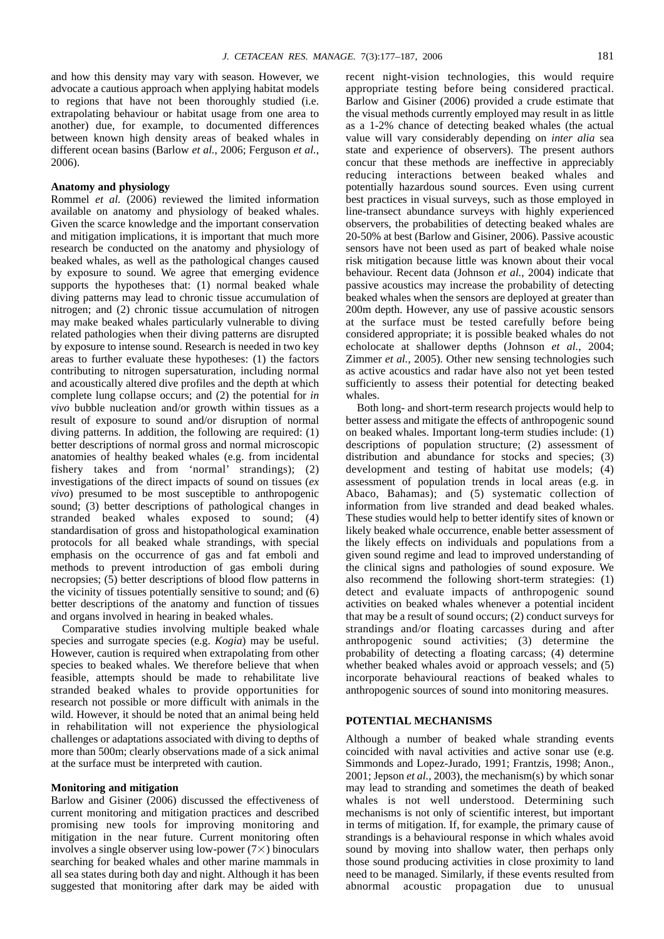and how this density may vary with season. However, we advocate a cautious approach when applying habitat models to regions that have not been thoroughly studied (i.e. extrapolating behaviour or habitat usage from one area to another) due, for example, to documented differences between known high density areas of beaked whales in different ocean basins (Barlow *et al.*, 2006; Ferguson *et al.*, 2006).

# **Anatomy and physiology**

Rommel *et al.* (2006) reviewed the limited information available on anatomy and physiology of beaked whales. Given the scarce knowledge and the important conservation and mitigation implications, it is important that much more research be conducted on the anatomy and physiology of beaked whales, as well as the pathological changes caused by exposure to sound. We agree that emerging evidence supports the hypotheses that: (1) normal beaked whale diving patterns may lead to chronic tissue accumulation of nitrogen; and (2) chronic tissue accumulation of nitrogen may make beaked whales particularly vulnerable to diving related pathologies when their diving patterns are disrupted by exposure to intense sound. Research is needed in two key areas to further evaluate these hypotheses: (1) the factors contributing to nitrogen supersaturation, including normal and acoustically altered dive profiles and the depth at which complete lung collapse occurs; and (2) the potential for *in vivo* bubble nucleation and/or growth within tissues as a result of exposure to sound and/or disruption of normal diving patterns. In addition, the following are required: (1) better descriptions of normal gross and normal microscopic anatomies of healthy beaked whales (e.g. from incidental fishery takes and from 'normal' strandings); (2) investigations of the direct impacts of sound on tissues (*ex vivo*) presumed to be most susceptible to anthropogenic sound; (3) better descriptions of pathological changes in stranded beaked whales exposed to sound; (4) standardisation of gross and histopathological examination protocols for all beaked whale strandings, with special emphasis on the occurrence of gas and fat emboli and methods to prevent introduction of gas emboli during necropsies; (5) better descriptions of blood flow patterns in the vicinity of tissues potentially sensitive to sound; and (6) better descriptions of the anatomy and function of tissues and organs involved in hearing in beaked whales.

Comparative studies involving multiple beaked whale species and surrogate species (e.g. *Kogia*) may be useful. However, caution is required when extrapolating from other species to beaked whales. We therefore believe that when feasible, attempts should be made to rehabilitate live stranded beaked whales to provide opportunities for research not possible or more difficult with animals in the wild. However, it should be noted that an animal being held in rehabilitation will not experience the physiological challenges or adaptations associated with diving to depths of more than 500m; clearly observations made of a sick animal at the surface must be interpreted with caution.

# **Monitoring and mitigation**

Barlow and Gisiner (2006) discussed the effectiveness of current monitoring and mitigation practices and described promising new tools for improving monitoring and mitigation in the near future. Current monitoring often involves a single observer using low-power  $(7\times)$  binoculars searching for beaked whales and other marine mammals in all sea states during both day and night. Although it has been suggested that monitoring after dark may be aided with recent night-vision technologies, this would require appropriate testing before being considered practical. Barlow and Gisiner (2006) provided a crude estimate that the visual methods currently employed may result in as little as a 1-2% chance of detecting beaked whales (the actual value will vary considerably depending on *inter alia* sea state and experience of observers). The present authors concur that these methods are ineffective in appreciably reducing interactions between beaked whales and potentially hazardous sound sources. Even using current best practices in visual surveys, such as those employed in line-transect abundance surveys with highly experienced observers, the probabilities of detecting beaked whales are 20-50% at best (Barlow and Gisiner, 2006). Passive acoustic sensors have not been used as part of beaked whale noise risk mitigation because little was known about their vocal behaviour. Recent data (Johnson *et al.*, 2004) indicate that passive acoustics may increase the probability of detecting beaked whales when the sensors are deployed at greater than 200m depth. However, any use of passive acoustic sensors at the surface must be tested carefully before being considered appropriate; it is possible beaked whales do not echolocate at shallower depths (Johnson *et al.*, 2004; Zimmer *et al.*, 2005). Other new sensing technologies such as active acoustics and radar have also not yet been tested sufficiently to assess their potential for detecting beaked whales.

Both long- and short-term research projects would help to better assess and mitigate the effects of anthropogenic sound on beaked whales. Important long-term studies include: (1) descriptions of population structure; (2) assessment of distribution and abundance for stocks and species; (3) development and testing of habitat use models; (4) assessment of population trends in local areas (e.g. in Abaco, Bahamas); and (5) systematic collection of information from live stranded and dead beaked whales. These studies would help to better identify sites of known or likely beaked whale occurrence, enable better assessment of the likely effects on individuals and populations from a given sound regime and lead to improved understanding of the clinical signs and pathologies of sound exposure. We also recommend the following short-term strategies: (1) detect and evaluate impacts of anthropogenic sound activities on beaked whales whenever a potential incident that may be a result of sound occurs; (2) conduct surveys for strandings and/or floating carcasses during and after anthropogenic sound activities; (3) determine the probability of detecting a floating carcass; (4) determine whether beaked whales avoid or approach vessels; and (5) incorporate behavioural reactions of beaked whales to anthropogenic sources of sound into monitoring measures.

# **POTENTIAL MECHANISMS**

Although a number of beaked whale stranding events coincided with naval activities and active sonar use (e.g. Simmonds and Lopez-Jurado, 1991; Frantzis, 1998; Anon., 2001; Jepson *et al.*, 2003), the mechanism(s) by which sonar may lead to stranding and sometimes the death of beaked whales is not well understood. Determining such mechanisms is not only of scientific interest, but important in terms of mitigation. If, for example, the primary cause of strandings is a behavioural response in which whales avoid sound by moving into shallow water, then perhaps only those sound producing activities in close proximity to land need to be managed. Similarly, if these events resulted from abnormal acoustic propagation due to unusual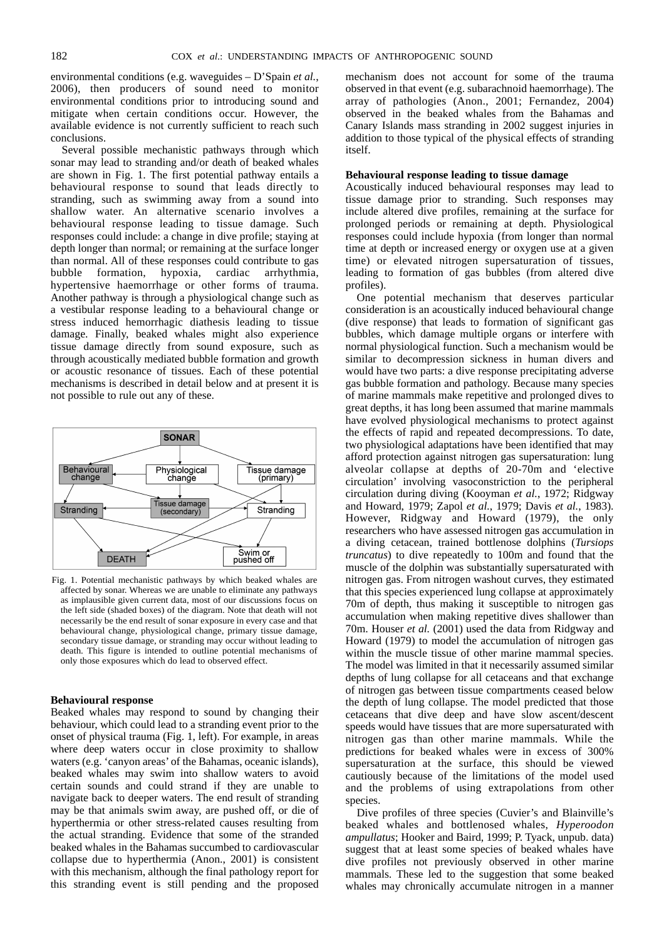environmental conditions (e.g. waveguides – D'Spain *et al.*, 2006), then producers of sound need to monitor environmental conditions prior to introducing sound and mitigate when certain conditions occur. However, the available evidence is not currently sufficient to reach such conclusions.

Several possible mechanistic pathways through which sonar may lead to stranding and/or death of beaked whales are shown in Fig. 1. The first potential pathway entails a behavioural response to sound that leads directly to stranding, such as swimming away from a sound into shallow water. An alternative scenario involves a behavioural response leading to tissue damage. Such responses could include: a change in dive profile; staying at depth longer than normal; or remaining at the surface longer than normal. All of these responses could contribute to gas bubble formation, hypoxia, cardiac arrhythmia, hypertensive haemorrhage or other forms of trauma. Another pathway is through a physiological change such as a vestibular response leading to a behavioural change or stress induced hemorrhagic diathesis leading to tissue damage. Finally, beaked whales might also experience tissue damage directly from sound exposure, such as through acoustically mediated bubble formation and growth or acoustic resonance of tissues. Each of these potential mechanisms is described in detail below and at present it is not possible to rule out any of these.



Fig. 1. Potential mechanistic pathways by which beaked whales are affected by sonar. Whereas we are unable to eliminate any pathways as implausible given current data, most of our discussions focus on the left side (shaded boxes) of the diagram. Note that death will not necessarily be the end result of sonar exposure in every case and that behavioural change, physiological change, primary tissue damage, secondary tissue damage, or stranding may occur without leading to death. This figure is intended to outline potential mechanisms of only those exposures which do lead to observed effect.

# **Behavioural response**

Beaked whales may respond to sound by changing their behaviour, which could lead to a stranding event prior to the onset of physical trauma (Fig. 1, left). For example, in areas where deep waters occur in close proximity to shallow waters (e.g. 'canyon areas' of the Bahamas, oceanic islands), beaked whales may swim into shallow waters to avoid certain sounds and could strand if they are unable to navigate back to deeper waters. The end result of stranding may be that animals swim away, are pushed off, or die of hyperthermia or other stress-related causes resulting from the actual stranding. Evidence that some of the stranded beaked whales in the Bahamas succumbed to cardiovascular collapse due to hyperthermia (Anon., 2001) is consistent with this mechanism, although the final pathology report for this stranding event is still pending and the proposed mechanism does not account for some of the trauma observed in that event (e.g. subarachnoid haemorrhage). The array of pathologies (Anon., 2001; Fernandez, 2004) observed in the beaked whales from the Bahamas and Canary Islands mass stranding in 2002 suggest injuries in addition to those typical of the physical effects of stranding itself.

### **Behavioural response leading to tissue damage**

Acoustically induced behavioural responses may lead to tissue damage prior to stranding. Such responses may include altered dive profiles, remaining at the surface for prolonged periods or remaining at depth. Physiological responses could include hypoxia (from longer than normal time at depth or increased energy or oxygen use at a given time) or elevated nitrogen supersaturation of tissues, leading to formation of gas bubbles (from altered dive profiles).

One potential mechanism that deserves particular consideration is an acoustically induced behavioural change (dive response) that leads to formation of significant gas bubbles, which damage multiple organs or interfere with normal physiological function. Such a mechanism would be similar to decompression sickness in human divers and would have two parts: a dive response precipitating adverse gas bubble formation and pathology. Because many species of marine mammals make repetitive and prolonged dives to great depths, it has long been assumed that marine mammals have evolved physiological mechanisms to protect against the effects of rapid and repeated decompressions. To date, two physiological adaptations have been identified that may afford protection against nitrogen gas supersaturation: lung alveolar collapse at depths of 20-70m and 'elective circulation' involving vasoconstriction to the peripheral circulation during diving (Kooyman *et al.*, 1972; Ridgway and Howard, 1979; Zapol *et al.*, 1979; Davis *et al.*, 1983). However, Ridgway and Howard (1979), the only researchers who have assessed nitrogen gas accumulation in a diving cetacean, trained bottlenose dolphins (*Tursiops truncatus*) to dive repeatedly to 100m and found that the muscle of the dolphin was substantially supersaturated with nitrogen gas. From nitrogen washout curves, they estimated that this species experienced lung collapse at approximately 70m of depth, thus making it susceptible to nitrogen gas accumulation when making repetitive dives shallower than 70m. Houser *et al.* (2001) used the data from Ridgway and Howard (1979) to model the accumulation of nitrogen gas within the muscle tissue of other marine mammal species. The model was limited in that it necessarily assumed similar depths of lung collapse for all cetaceans and that exchange of nitrogen gas between tissue compartments ceased below the depth of lung collapse. The model predicted that those cetaceans that dive deep and have slow ascent/descent speeds would have tissues that are more supersaturated with nitrogen gas than other marine mammals. While the predictions for beaked whales were in excess of 300% supersaturation at the surface, this should be viewed cautiously because of the limitations of the model used and the problems of using extrapolations from other species.

Dive profiles of three species (Cuvier's and Blainville's beaked whales and bottlenosed whales, *Hyperoodon ampullatus*; Hooker and Baird, 1999; P. Tyack, unpub. data) suggest that at least some species of beaked whales have dive profiles not previously observed in other marine mammals. These led to the suggestion that some beaked whales may chronically accumulate nitrogen in a manner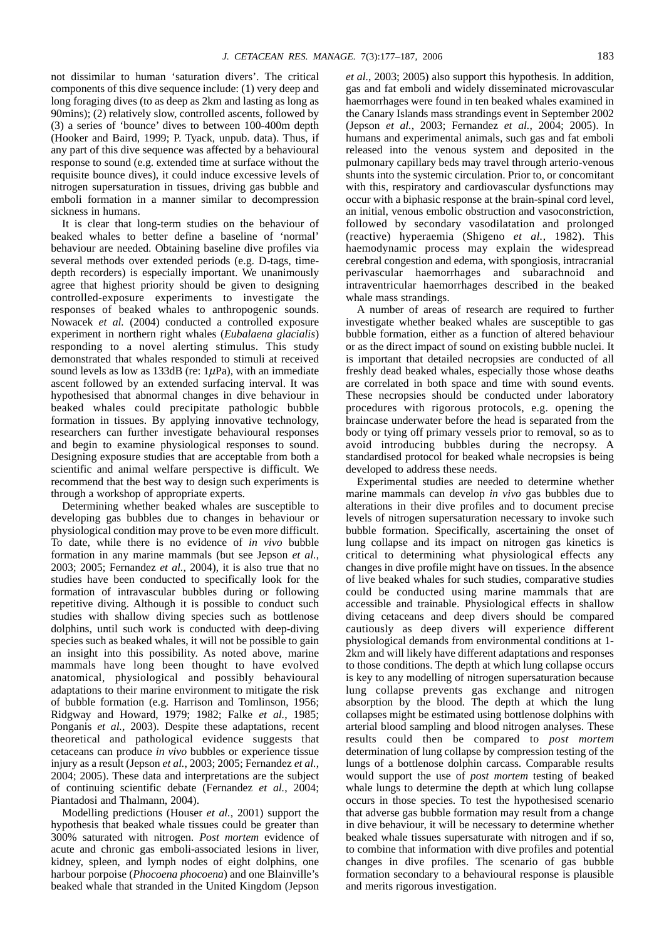not dissimilar to human 'saturation divers'. The critical components of this dive sequence include: (1) very deep and long foraging dives (to as deep as 2km and lasting as long as 90mins); (2) relatively slow, controlled ascents, followed by (3) a series of 'bounce' dives to between 100-400m depth (Hooker and Baird, 1999; P. Tyack, unpub. data). Thus, if any part of this dive sequence was affected by a behavioural response to sound (e.g. extended time at surface without the requisite bounce dives), it could induce excessive levels of nitrogen supersaturation in tissues, driving gas bubble and emboli formation in a manner similar to decompression sickness in humans.

It is clear that long-term studies on the behaviour of beaked whales to better define a baseline of 'normal' behaviour are needed. Obtaining baseline dive profiles via several methods over extended periods (e.g. D-tags, timedepth recorders) is especially important. We unanimously agree that highest priority should be given to designing controlled-exposure experiments to investigate the responses of beaked whales to anthropogenic sounds. Nowacek *et al.* (2004) conducted a controlled exposure experiment in northern right whales (*Eubalaena glacialis*) responding to a novel alerting stimulus. This study demonstrated that whales responded to stimuli at received sound levels as low as 133dB (re:  $1\mu$ Pa), with an immediate ascent followed by an extended surfacing interval. It was hypothesised that abnormal changes in dive behaviour in beaked whales could precipitate pathologic bubble formation in tissues. By applying innovative technology, researchers can further investigate behavioural responses and begin to examine physiological responses to sound. Designing exposure studies that are acceptable from both a scientific and animal welfare perspective is difficult. We recommend that the best way to design such experiments is through a workshop of appropriate experts.

Determining whether beaked whales are susceptible to developing gas bubbles due to changes in behaviour or physiological condition may prove to be even more difficult. To date, while there is no evidence of *in vivo* bubble formation in any marine mammals (but see Jepson *et al.*, 2003; 2005; Fernandez *et al.*, 2004), it is also true that no studies have been conducted to specifically look for the formation of intravascular bubbles during or following repetitive diving. Although it is possible to conduct such studies with shallow diving species such as bottlenose dolphins, until such work is conducted with deep-diving species such as beaked whales, it will not be possible to gain an insight into this possibility. As noted above, marine mammals have long been thought to have evolved anatomical, physiological and possibly behavioural adaptations to their marine environment to mitigate the risk of bubble formation (e.g. Harrison and Tomlinson, 1956; Ridgway and Howard, 1979; 1982; Falke *et al.*, 1985; Ponganis *et al.*, 2003). Despite these adaptations, recent theoretical and pathological evidence suggests that cetaceans can produce *in vivo* bubbles or experience tissue injury as a result (Jepson *et al.*, 2003; 2005; Fernandez *et al.*, 2004; 2005). These data and interpretations are the subject of continuing scientific debate (Fernandez *et al.*, 2004; Piantadosi and Thalmann, 2004).

Modelling predictions (Houser *et al.*, 2001) support the hypothesis that beaked whale tissues could be greater than 300% saturated with nitrogen. *Post mortem* evidence of acute and chronic gas emboli-associated lesions in liver, kidney, spleen, and lymph nodes of eight dolphins, one harbour porpoise (*Phocoena phocoena*) and one Blainville's beaked whale that stranded in the United Kingdom (Jepson *et al.*, 2003; 2005) also support this hypothesis. In addition, gas and fat emboli and widely disseminated microvascular haemorrhages were found in ten beaked whales examined in the Canary Islands mass strandings event in September 2002 (Jepson *et al.*, 2003; Fernandez *et al.*, 2004; 2005). In humans and experimental animals, such gas and fat emboli released into the venous system and deposited in the pulmonary capillary beds may travel through arterio-venous shunts into the systemic circulation. Prior to, or concomitant with this, respiratory and cardiovascular dysfunctions may occur with a biphasic response at the brain-spinal cord level, an initial, venous embolic obstruction and vasoconstriction, followed by secondary vasodilatation and prolonged (reactive) hyperaemia (Shigeno *et al.*, 1982). This haemodynamic process may explain the widespread cerebral congestion and edema, with spongiosis, intracranial perivascular haemorrhages and subarachnoid and intraventricular haemorrhages described in the beaked whale mass strandings.

A number of areas of research are required to further investigate whether beaked whales are susceptible to gas bubble formation, either as a function of altered behaviour or as the direct impact of sound on existing bubble nuclei. It is important that detailed necropsies are conducted of all freshly dead beaked whales, especially those whose deaths are correlated in both space and time with sound events. These necropsies should be conducted under laboratory procedures with rigorous protocols, e.g. opening the braincase underwater before the head is separated from the body or tying off primary vessels prior to removal, so as to avoid introducing bubbles during the necropsy. A standardised protocol for beaked whale necropsies is being developed to address these needs.

Experimental studies are needed to determine whether marine mammals can develop *in vivo* gas bubbles due to alterations in their dive profiles and to document precise levels of nitrogen supersaturation necessary to invoke such bubble formation. Specifically, ascertaining the onset of lung collapse and its impact on nitrogen gas kinetics is critical to determining what physiological effects any changes in dive profile might have on tissues. In the absence of live beaked whales for such studies, comparative studies could be conducted using marine mammals that are accessible and trainable. Physiological effects in shallow diving cetaceans and deep divers should be compared cautiously as deep divers will experience different physiological demands from environmental conditions at 1- 2km and will likely have different adaptations and responses to those conditions. The depth at which lung collapse occurs is key to any modelling of nitrogen supersaturation because lung collapse prevents gas exchange and nitrogen absorption by the blood. The depth at which the lung collapses might be estimated using bottlenose dolphins with arterial blood sampling and blood nitrogen analyses. These results could then be compared to *post mortem* determination of lung collapse by compression testing of the lungs of a bottlenose dolphin carcass. Comparable results would support the use of *post mortem* testing of beaked whale lungs to determine the depth at which lung collapse occurs in those species. To test the hypothesised scenario that adverse gas bubble formation may result from a change in dive behaviour, it will be necessary to determine whether beaked whale tissues supersaturate with nitrogen and if so, to combine that information with dive profiles and potential changes in dive profiles. The scenario of gas bubble formation secondary to a behavioural response is plausible and merits rigorous investigation.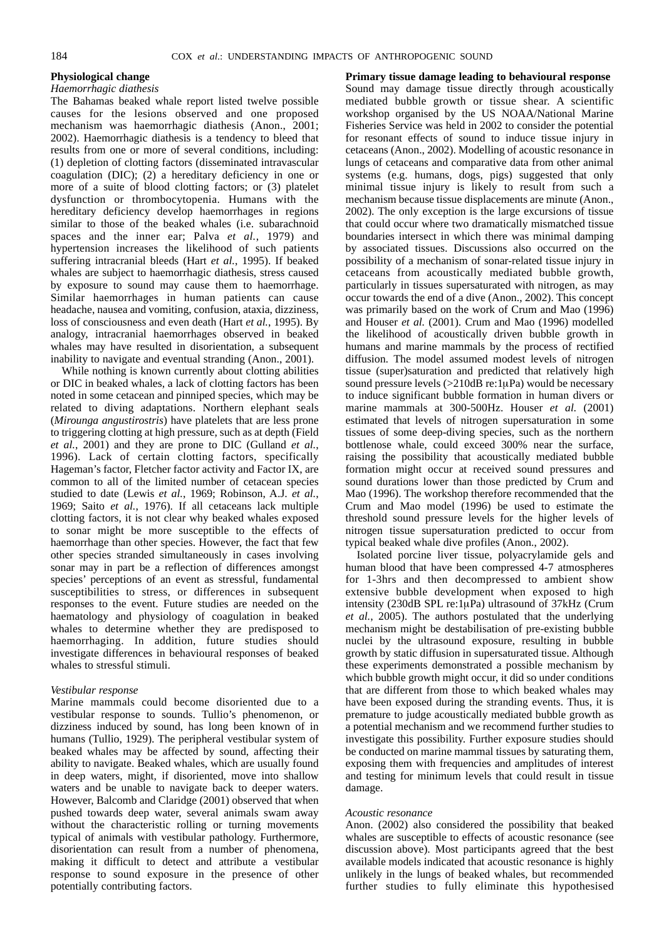# **Physiological change**

#### *Haemorrhagic diathesis*

The Bahamas beaked whale report listed twelve possible causes for the lesions observed and one proposed mechanism was haemorrhagic diathesis (Anon., 2001; 2002). Haemorrhagic diathesis is a tendency to bleed that results from one or more of several conditions, including: (1) depletion of clotting factors (disseminated intravascular coagulation (DIC); (2) a hereditary deficiency in one or more of a suite of blood clotting factors; or (3) platelet dysfunction or thrombocytopenia. Humans with the hereditary deficiency develop haemorrhages in regions similar to those of the beaked whales (i.e. subarachnoid spaces and the inner ear; Palva *et al.*, 1979) and hypertension increases the likelihood of such patients suffering intracranial bleeds (Hart *et al.*, 1995). If beaked whales are subject to haemorrhagic diathesis, stress caused by exposure to sound may cause them to haemorrhage. Similar haemorrhages in human patients can cause headache, nausea and vomiting, confusion, ataxia, dizziness, loss of consciousness and even death (Hart *et al.*, 1995). By analogy, intracranial haemorrhages observed in beaked whales may have resulted in disorientation, a subsequent inability to navigate and eventual stranding (Anon., 2001).

While nothing is known currently about clotting abilities or DIC in beaked whales, a lack of clotting factors has been noted in some cetacean and pinniped species, which may be related to diving adaptations. Northern elephant seals (*Mirounga angustirostris*) have platelets that are less prone to triggering clotting at high pressure, such as at depth (Field *et al.*, 2001) and they are prone to DIC (Gulland *et al.*, 1996). Lack of certain clotting factors, specifically Hageman's factor, Fletcher factor activity and Factor IX, are common to all of the limited number of cetacean species studied to date (Lewis *et al.*, 1969; Robinson, A.J. *et al.*, 1969; Saito *et al.*, 1976). If all cetaceans lack multiple clotting factors, it is not clear why beaked whales exposed to sonar might be more susceptible to the effects of haemorrhage than other species. However, the fact that few other species stranded simultaneously in cases involving sonar may in part be a reflection of differences amongst species' perceptions of an event as stressful, fundamental susceptibilities to stress, or differences in subsequent responses to the event. Future studies are needed on the haematology and physiology of coagulation in beaked whales to determine whether they are predisposed to haemorrhaging. In addition, future studies should investigate differences in behavioural responses of beaked whales to stressful stimuli.

#### *Vestibular response*

Marine mammals could become disoriented due to a vestibular response to sounds. Tullio's phenomenon, or dizziness induced by sound, has long been known of in humans (Tullio, 1929). The peripheral vestibular system of beaked whales may be affected by sound, affecting their ability to navigate. Beaked whales, which are usually found in deep waters, might, if disoriented, move into shallow waters and be unable to navigate back to deeper waters. However, Balcomb and Claridge (2001) observed that when pushed towards deep water, several animals swam away without the characteristic rolling or turning movements typical of animals with vestibular pathology. Furthermore, disorientation can result from a number of phenomena, making it difficult to detect and attribute a vestibular response to sound exposure in the presence of other potentially contributing factors.

**Primary tissue damage leading to behavioural response** Sound may damage tissue directly through acoustically mediated bubble growth or tissue shear. A scientific workshop organised by the US NOAA/National Marine Fisheries Service was held in 2002 to consider the potential for resonant effects of sound to induce tissue injury in cetaceans (Anon., 2002). Modelling of acoustic resonance in lungs of cetaceans and comparative data from other animal systems (e.g. humans, dogs, pigs) suggested that only minimal tissue injury is likely to result from such a mechanism because tissue displacements are minute (Anon., 2002). The only exception is the large excursions of tissue that could occur where two dramatically mismatched tissue boundaries intersect in which there was minimal damping by associated tissues. Discussions also occurred on the possibility of a mechanism of sonar-related tissue injury in cetaceans from acoustically mediated bubble growth, particularly in tissues supersaturated with nitrogen, as may occur towards the end of a dive (Anon., 2002). This concept was primarily based on the work of Crum and Mao (1996) and Houser *et al.* (2001). Crum and Mao (1996) modelled the likelihood of acoustically driven bubble growth in humans and marine mammals by the process of rectified diffusion. The model assumed modest levels of nitrogen tissue (super)saturation and predicted that relatively high sound pressure levels  $(>210dB \text{ re:1µPa})$  would be necessary to induce significant bubble formation in human divers or marine mammals at 300-500Hz. Houser *et al.* (2001) estimated that levels of nitrogen supersaturation in some tissues of some deep-diving species, such as the northern bottlenose whale, could exceed 300% near the surface, raising the possibility that acoustically mediated bubble formation might occur at received sound pressures and sound durations lower than those predicted by Crum and Mao (1996). The workshop therefore recommended that the Crum and Mao model (1996) be used to estimate the threshold sound pressure levels for the higher levels of nitrogen tissue supersaturation predicted to occur from typical beaked whale dive profiles (Anon., 2002).

Isolated porcine liver tissue, polyacrylamide gels and human blood that have been compressed 4-7 atmospheres for 1-3hrs and then decompressed to ambient show extensive bubble development when exposed to high intensity (230dB SPL re: $1\mu$ Pa) ultrasound of 37kHz (Crum *et al.*, 2005). The authors postulated that the underlying mechanism might be destabilisation of pre-existing bubble nuclei by the ultrasound exposure, resulting in bubble growth by static diffusion in supersaturated tissue. Although these experiments demonstrated a possible mechanism by which bubble growth might occur, it did so under conditions that are different from those to which beaked whales may have been exposed during the stranding events. Thus, it is premature to judge acoustically mediated bubble growth as a potential mechanism and we recommend further studies to investigate this possibility. Further exposure studies should be conducted on marine mammal tissues by saturating them, exposing them with frequencies and amplitudes of interest and testing for minimum levels that could result in tissue damage.

#### *Acoustic resonance*

Anon. (2002) also considered the possibility that beaked whales are susceptible to effects of acoustic resonance (see discussion above). Most participants agreed that the best available models indicated that acoustic resonance is highly unlikely in the lungs of beaked whales, but recommended further studies to fully eliminate this hypothesised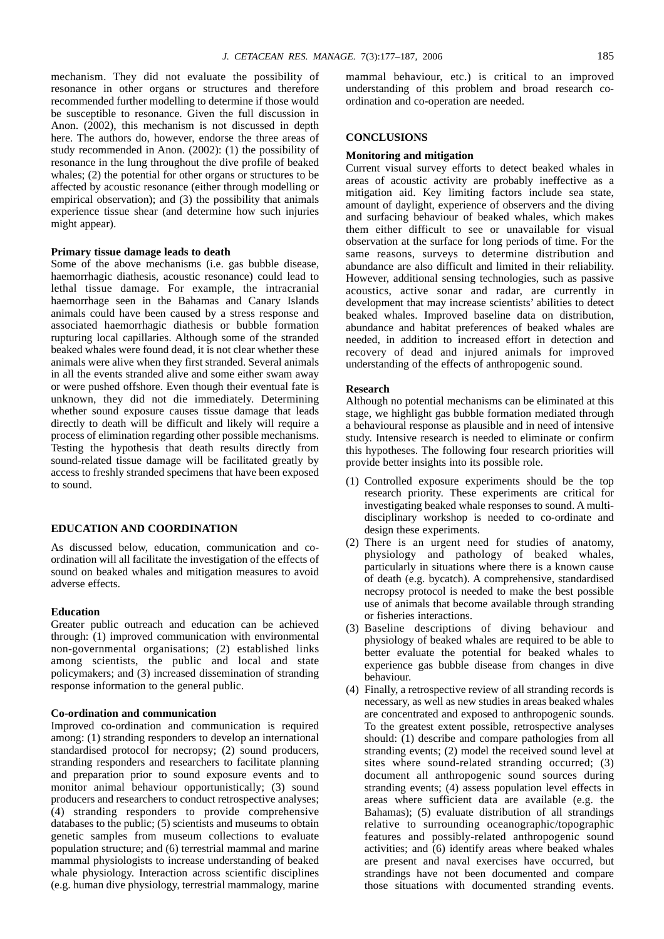mechanism. They did not evaluate the possibility of resonance in other organs or structures and therefore recommended further modelling to determine if those would be susceptible to resonance. Given the full discussion in Anon. (2002), this mechanism is not discussed in depth here. The authors do, however, endorse the three areas of study recommended in Anon. (2002): (1) the possibility of resonance in the lung throughout the dive profile of beaked whales; (2) the potential for other organs or structures to be affected by acoustic resonance (either through modelling or empirical observation); and (3) the possibility that animals experience tissue shear (and determine how such injuries might appear).

# **Primary tissue damage leads to death**

Some of the above mechanisms (i.e. gas bubble disease, haemorrhagic diathesis, acoustic resonance) could lead to lethal tissue damage. For example, the intracranial haemorrhage seen in the Bahamas and Canary Islands animals could have been caused by a stress response and associated haemorrhagic diathesis or bubble formation rupturing local capillaries. Although some of the stranded beaked whales were found dead, it is not clear whether these animals were alive when they first stranded. Several animals in all the events stranded alive and some either swam away or were pushed offshore. Even though their eventual fate is unknown, they did not die immediately. Determining whether sound exposure causes tissue damage that leads directly to death will be difficult and likely will require a process of elimination regarding other possible mechanisms. Testing the hypothesis that death results directly from sound-related tissue damage will be facilitated greatly by access to freshly stranded specimens that have been exposed to sound.

# **EDUCATION AND COORDINATION**

As discussed below, education, communication and coordination will all facilitate the investigation of the effects of sound on beaked whales and mitigation measures to avoid adverse effects.

# **Education**

Greater public outreach and education can be achieved through: (1) improved communication with environmental non-governmental organisations; (2) established links among scientists, the public and local and state policymakers; and (3) increased dissemination of stranding response information to the general public.

# **Co-ordination and communication**

Improved co-ordination and communication is required among: (1) stranding responders to develop an international standardised protocol for necropsy; (2) sound producers, stranding responders and researchers to facilitate planning and preparation prior to sound exposure events and to monitor animal behaviour opportunistically; (3) sound producers and researchers to conduct retrospective analyses; (4) stranding responders to provide comprehensive databases to the public; (5) scientists and museums to obtain genetic samples from museum collections to evaluate population structure; and (6) terrestrial mammal and marine mammal physiologists to increase understanding of beaked whale physiology. Interaction across scientific disciplines (e.g. human dive physiology, terrestrial mammalogy, marine

mammal behaviour, etc.) is critical to an improved understanding of this problem and broad research coordination and co-operation are needed.

# **CONCLUSIONS**

### **Monitoring and mitigation**

Current visual survey efforts to detect beaked whales in areas of acoustic activity are probably ineffective as a mitigation aid. Key limiting factors include sea state, amount of daylight, experience of observers and the diving and surfacing behaviour of beaked whales, which makes them either difficult to see or unavailable for visual observation at the surface for long periods of time. For the same reasons, surveys to determine distribution and abundance are also difficult and limited in their reliability. However, additional sensing technologies, such as passive acoustics, active sonar and radar, are currently in development that may increase scientists' abilities to detect beaked whales. Improved baseline data on distribution, abundance and habitat preferences of beaked whales are needed, in addition to increased effort in detection and recovery of dead and injured animals for improved understanding of the effects of anthropogenic sound.

#### **Research**

Although no potential mechanisms can be eliminated at this stage, we highlight gas bubble formation mediated through a behavioural response as plausible and in need of intensive study. Intensive research is needed to eliminate or confirm this hypotheses. The following four research priorities will provide better insights into its possible role.

- (1) Controlled exposure experiments should be the top research priority. These experiments are critical for investigating beaked whale responses to sound. A multidisciplinary workshop is needed to co-ordinate and design these experiments.
- (2) There is an urgent need for studies of anatomy, physiology and pathology of beaked whales, particularly in situations where there is a known cause of death (e.g. bycatch). A comprehensive, standardised necropsy protocol is needed to make the best possible use of animals that become available through stranding or fisheries interactions.
- (3) Baseline descriptions of diving behaviour and physiology of beaked whales are required to be able to better evaluate the potential for beaked whales to experience gas bubble disease from changes in dive behaviour.
- (4) Finally, a retrospective review of all stranding records is necessary, as well as new studies in areas beaked whales are concentrated and exposed to anthropogenic sounds. To the greatest extent possible, retrospective analyses should: (1) describe and compare pathologies from all stranding events; (2) model the received sound level at sites where sound-related stranding occurred; (3) document all anthropogenic sound sources during stranding events; (4) assess population level effects in areas where sufficient data are available (e.g. the Bahamas); (5) evaluate distribution of all strandings relative to surrounding oceanographic/topographic features and possibly-related anthropogenic sound activities; and (6) identify areas where beaked whales are present and naval exercises have occurred, but strandings have not been documented and compare those situations with documented stranding events.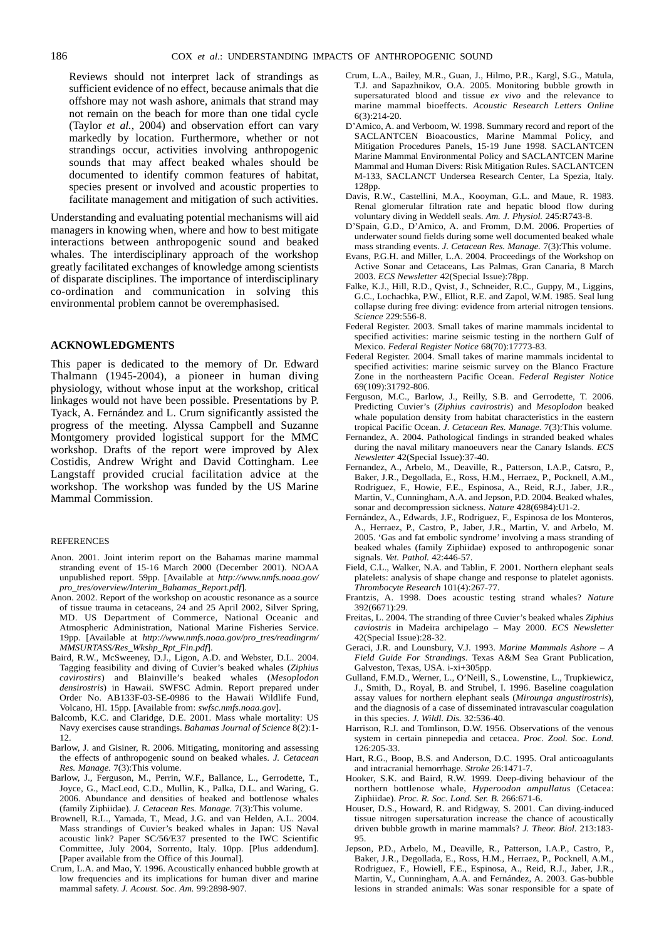Reviews should not interpret lack of strandings as sufficient evidence of no effect, because animals that die offshore may not wash ashore, animals that strand may not remain on the beach for more than one tidal cycle (Taylor *et al.*, 2004) and observation effort can vary markedly by location. Furthermore, whether or not strandings occur, activities involving anthropogenic sounds that may affect beaked whales should be documented to identify common features of habitat, species present or involved and acoustic properties to facilitate management and mitigation of such activities.

Understanding and evaluating potential mechanisms will aid managers in knowing when, where and how to best mitigate interactions between anthropogenic sound and beaked whales. The interdisciplinary approach of the workshop greatly facilitated exchanges of knowledge among scientists of disparate disciplines. The importance of interdisciplinary co-ordination and communication in solving this environmental problem cannot be overemphasised.

## **ACKNOWLEDGMENTS**

This paper is dedicated to the memory of Dr. Edward Thalmann (1945-2004), a pioneer in human diving physiology, without whose input at the workshop, critical linkages would not have been possible. Presentations by P. Tyack, A. Fernández and L. Crum significantly assisted the progress of the meeting. Alyssa Campbell and Suzanne Montgomery provided logistical support for the MMC workshop. Drafts of the report were improved by Alex Costidis, Andrew Wright and David Cottingham. Lee Langstaff provided crucial facilitation advice at the workshop. The workshop was funded by the US Marine Mammal Commission.

#### **REFERENCES**

- Anon. 2001. Joint interim report on the Bahamas marine mammal stranding event of 15-16 March 2000 (December 2001). NOAA unpublished report. 59pp. [Available at *http://www.nmfs.noaa.gov/ pro\_tres/overview/Interim\_Bahamas\_Report.pdf*].
- Anon. 2002. Report of the workshop on acoustic resonance as a source of tissue trauma in cetaceans, 24 and 25 April 2002, Silver Spring, MD. US Department of Commerce, National Oceanic and Atmospheric Administration, National Marine Fisheries Service. 19pp. [Available at *http://www.nmfs.noaa.gov/pro\_tres/readingrm/ MMSURTASS/Res\_Wkshp\_Rpt\_Fin.pdf*].
- Baird, R.W., McSweeney, D.J., Ligon, A.D. and Webster, D.L. 2004. Tagging feasibility and diving of Cuvier's beaked whales (*Ziphius cavirostirs*) and Blainville's beaked whales (*Mesoplodon densirostris*) in Hawaii. SWFSC Admin. Report prepared under Order No. AB133F-03-SE-0986 to the Hawaii Wildlife Fund, Volcano, HI. 15pp. [Available from: *swfsc.nmfs.noaa.gov*].
- Balcomb, K.C. and Claridge, D.E. 2001. Mass whale mortality: US Navy exercises cause strandings. *Bahamas Journal of Science* 8(2):1- 12.
- Barlow, J. and Gisiner, R. 2006. Mitigating, monitoring and assessing the effects of anthropogenic sound on beaked whales. *J. Cetacean Res. Manage.* 7(3):This volume.
- Barlow, J., Ferguson, M., Perrin, W.F., Ballance, L., Gerrodette, T., Joyce, G., MacLeod, C.D., Mullin, K., Palka, D.L. and Waring, G. 2006. Abundance and densities of beaked and bottlenose whales (family Ziphiidae). *J. Cetacean Res. Manage.* 7(3):This volume.
- Brownell, R.L., Yamada, T., Mead, J.G. and van Helden, A.L. 2004. Mass strandings of Cuvier's beaked whales in Japan: US Naval acoustic link? Paper SC/56/E37 presented to the IWC Scientific Committee, July 2004, Sorrento, Italy. 10pp. [Plus addendum]. [Paper available from the Office of this Journal].
- Crum, L.A. and Mao, Y. 1996. Acoustically enhanced bubble growth at low frequencies and its implications for human diver and marine mammal safety. *J. Acoust. Soc. Am.* 99:2898-907.
- Crum, L.A., Bailey, M.R., Guan, J., Hilmo, P.R., Kargl, S.G., Matula, T.J. and Sapazhnikov, O.A. 2005. Monitoring bubble growth in supersaturated blood and tissue *ex vivo* and the relevance to marine mammal bioeffects. *Acoustic Research Letters Online* 6(3):214-20.
- D'Amico, A. and Verboom, W. 1998. Summary record and report of the SACLANTCEN Bioacoustics, Marine Mammal Policy, and Mitigation Procedures Panels, 15-19 June 1998. SACLANTCEN Marine Mammal Environmental Policy and SACLANTCEN Marine Mammal and Human Divers: Risk Mitigation Rules. SACLANTCEN M-133, SACLANCT Undersea Research Center, La Spezia, Italy. 128pp.
- Davis, R.W., Castellini, M.A., Kooyman, G.L. and Maue, R. 1983. Renal glomerular filtration rate and hepatic blood flow during voluntary diving in Weddell seals. *Am. J. Physiol.* 245:R743-8.
- D'Spain, G.D., D'Amico, A. and Fromm, D.M. 2006. Properties of underwater sound fields during some well documented beaked whale mass stranding events. *J. Cetacean Res. Manage.* 7(3):This volume.
- Evans, P.G.H. and Miller, L.A. 2004. Proceedings of the Workshop on Active Sonar and Cetaceans, Las Palmas, Gran Canaria, 8 March 2003. *ECS Newsletter* 42(Special Issue):78pp.
- Falke, K.J., Hill, R.D., Qvist, J., Schneider, R.C., Guppy, M., Liggins, G.C., Lochachka, P.W., Elliot, R.E. and Zapol, W.M. 1985. Seal lung collapse during free diving: evidence from arterial nitrogen tensions. *Science* 229:556-8.
- Federal Register. 2003. Small takes of marine mammals incidental to specified activities: marine seismic testing in the northern Gulf of Mexico. *Federal Register Notice* 68(70):17773-83.
- Federal Register. 2004. Small takes of marine mammals incidental to specified activities: marine seismic survey on the Blanco Fracture Zone in the northeastern Pacific Ocean. *Federal Register Notice* 69(109):31792-806.
- Ferguson, M.C., Barlow, J., Reilly, S.B. and Gerrodette, T. 2006. Predicting Cuvier's (*Ziphius cavirostris*) and *Mesoplodon* beaked whale population density from habitat characteristics in the eastern tropical Pacific Ocean. *J. Cetacean Res. Manage.* 7(3):This volume.
- Fernandez, A. 2004. Pathological findings in stranded beaked whales during the naval military manoeuvers near the Canary Islands. *ECS Newsletter* 42(Special Issue):37-40.
- Fernandez, A., Arbelo, M., Deaville, R., Patterson, I.A.P., Catsro, P., Baker, J.R., Degollada, E., Ross, H.M., Herraez, P., Pocknell, A.M., Rodriguez, F., Howie, F.E., Espinosa, A., Reid, R.J., Jaber, J.R., Martin, V., Cunningham, A.A. and Jepson, P.D. 2004. Beaked whales, sonar and decompression sickness. *Nature* 428(6984):U1-2.
- Fernández, A., Edwards, J.F., Rodriguez, F., Espinosa de los Monteros, A., Herraez, P., Castro, P., Jaber, J.R., Martin, V. and Arbelo, M. 2005. 'Gas and fat embolic syndrome' involving a mass stranding of beaked whales (family Ziphiidae) exposed to anthropogenic sonar signals. *Vet. Pathol.* 42:446-57.
- Field, C.L., Walker, N.A. and Tablin, F. 2001. Northern elephant seals platelets: analysis of shape change and response to platelet agonists. *Thrombocyte Research* 101(4):267-77.
- Frantzis, A. 1998. Does acoustic testing strand whales? *Nature* 392(6671):29.
- Freitas, L. 2004. The stranding of three Cuvier's beaked whales *Ziphius caviostris* in Madeira archipelago – May 2000. *ECS Newsletter* 42(Special Issue):28-32.
- Geraci, J.R. and Lounsbury, V.J. 1993. *Marine Mammals Ashore A Field Guide For Strandings*. Texas A&M Sea Grant Publication, Galveston, Texas, USA. i-xi+305pp.
- Gulland, F.M.D., Werner, L., O'Neill, S., Lowenstine, L., Trupkiewicz, J., Smith, D., Royal, B. and Strubel, I. 1996. Baseline coagulation assay values for northern elephant seals (*Mirounga angustirostris*), and the diagnosis of a case of disseminated intravascular coagulation in this species. *J. Wildl. Dis.* 32:536-40.
- Harrison, R.J. and Tomlinson, D.W. 1956. Observations of the venous system in certain pinnepedia and cetacea. *Proc. Zool. Soc. Lond.*  $126:205-33$ .
- Hart, R.G., Boop, B.S. and Anderson, D.C. 1995. Oral anticoagulants and intracranial hemorrhage. *Stroke* 26:1471-7.
- Hooker, S.K. and Baird, R.W. 1999. Deep-diving behaviour of the northern bottlenose whale, *Hyperoodon ampullatus* (Cetacea: Ziphiidae). *Proc. R. Soc. Lond. Ser. B.* 266:671-6.
- Houser, D.S., Howard, R. and Ridgway, S. 2001. Can diving-induced tissue nitrogen supersaturation increase the chance of acoustically driven bubble growth in marine mammals? *J. Theor. Biol.* 213:183- 95.
- Jepson, P.D., Arbelo, M., Deaville, R., Patterson, I.A.P., Castro, P., Baker, J.R., Degollada, E., Ross, H.M., Herraez, P., Pocknell, A.M., Rodriguez, F., Howiell, F.E., Espinosa, A., Reid, R.J., Jaber, J.R., Martin, V., Cunningham, A.A. and Fernández, A. 2003. Gas-bubble lesions in stranded animals: Was sonar responsible for a spate of